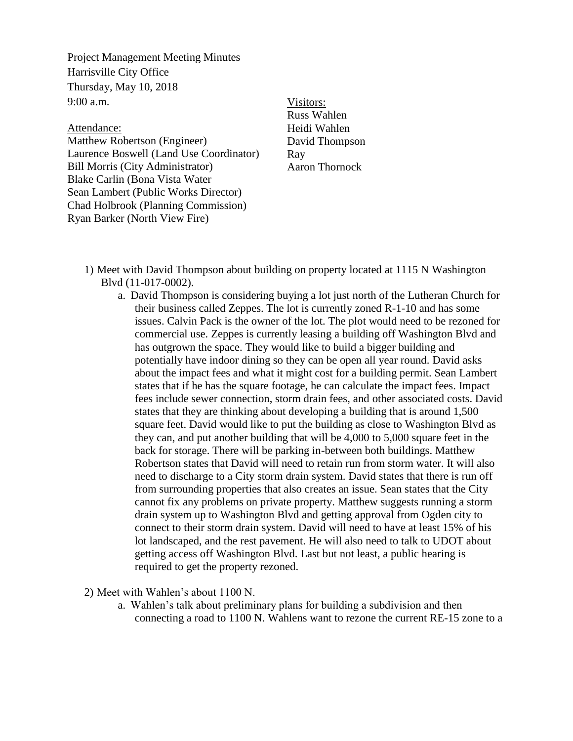Project Management Meeting Minutes Harrisville City Office Thursday, May 10, 2018 9:00 a.m.

## Attendance:

Matthew Robertson (Engineer) Laurence Boswell (Land Use Coordinator) Bill Morris (City Administrator) Blake Carlin (Bona Vista Water Sean Lambert (Public Works Director) Chad Holbrook (Planning Commission) Ryan Barker (North View Fire)

## Visitors:

Russ Wahlen Heidi Wahlen David Thompson Ray Aaron Thornock

- 1) Meet with David Thompson about building on property located at 1115 N Washington Blvd (11-017-0002).
	- a. David Thompson is considering buying a lot just north of the Lutheran Church for their business called Zeppes. The lot is currently zoned R-1-10 and has some issues. Calvin Pack is the owner of the lot. The plot would need to be rezoned for commercial use. Zeppes is currently leasing a building off Washington Blvd and has outgrown the space. They would like to build a bigger building and potentially have indoor dining so they can be open all year round. David asks about the impact fees and what it might cost for a building permit. Sean Lambert states that if he has the square footage, he can calculate the impact fees. Impact fees include sewer connection, storm drain fees, and other associated costs. David states that they are thinking about developing a building that is around 1,500 square feet. David would like to put the building as close to Washington Blvd as they can, and put another building that will be 4,000 to 5,000 square feet in the back for storage. There will be parking in-between both buildings. Matthew Robertson states that David will need to retain run from storm water. It will also need to discharge to a City storm drain system. David states that there is run off from surrounding properties that also creates an issue. Sean states that the City cannot fix any problems on private property. Matthew suggests running a storm drain system up to Washington Blvd and getting approval from Ogden city to connect to their storm drain system. David will need to have at least 15% of his lot landscaped, and the rest pavement. He will also need to talk to UDOT about getting access off Washington Blvd. Last but not least, a public hearing is required to get the property rezoned.

2) Meet with Wahlen's about 1100 N.

a. Wahlen's talk about preliminary plans for building a subdivision and then connecting a road to 1100 N. Wahlens want to rezone the current RE-15 zone to a